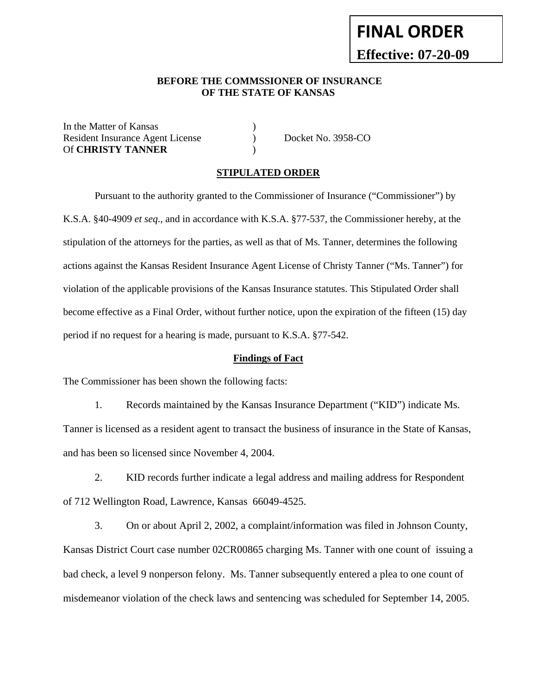# **FINAL ORDER Effective: 07-20-09**

#### **BEFORE THE COMMSSIONER OF INSURANCE OF THE STATE OF KANSAS**

In the Matter of Kansas Resident Insurance Agent License (b) Docket No. 3958-CO Of **CHRISTY TANNER** )

#### **STIPULATED ORDER**

Pursuant to the authority granted to the Commissioner of Insurance ("Commissioner") by K.S.A. §40-4909 *et seq*., and in accordance with K.S.A. §77-537, the Commissioner hereby, at the stipulation of the attorneys for the parties, as well as that of Ms. Tanner, determines the following actions against the Kansas Resident Insurance Agent License of Christy Tanner ("Ms. Tanner") for violation of the applicable provisions of the Kansas Insurance statutes. This Stipulated Order shall become effective as a Final Order, without further notice, upon the expiration of the fifteen (15) day period if no request for a hearing is made, pursuant to K.S.A. §77-542.

#### **Findings of Fact**

The Commissioner has been shown the following facts:

 1. Records maintained by the Kansas Insurance Department ("KID") indicate Ms. Tanner is licensed as a resident agent to transact the business of insurance in the State of Kansas, and has been so licensed since November 4, 2004.

 2. KID records further indicate a legal address and mailing address for Respondent of 712 Wellington Road, Lawrence, Kansas 66049-4525.

 3. On or about April 2, 2002, a complaint/information was filed in Johnson County, Kansas District Court case number 02CR00865 charging Ms. Tanner with one count of issuing a bad check, a level 9 nonperson felony. Ms. Tanner subsequently entered a plea to one count of misdemeanor violation of the check laws and sentencing was scheduled for September 14, 2005.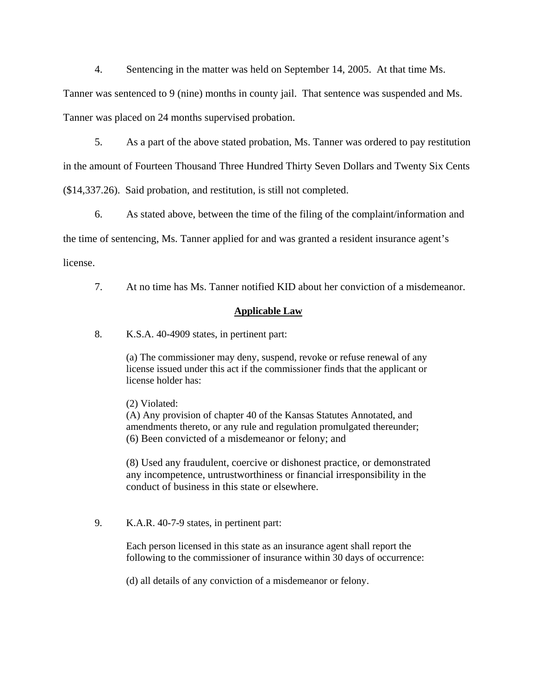4. Sentencing in the matter was held on September 14, 2005. At that time Ms.

Tanner was sentenced to 9 (nine) months in county jail. That sentence was suspended and Ms.

Tanner was placed on 24 months supervised probation.

5. As a part of the above stated probation, Ms. Tanner was ordered to pay restitution

in the amount of Fourteen Thousand Three Hundred Thirty Seven Dollars and Twenty Six Cents

(\$14,337.26). Said probation, and restitution, is still not completed.

6. As stated above, between the time of the filing of the complaint/information and

the time of sentencing, Ms. Tanner applied for and was granted a resident insurance agent's

license.

7. At no time has Ms. Tanner notified KID about her conviction of a misdemeanor.

## **Applicable Law**

8. K.S.A. 40-4909 states, in pertinent part:

(a) The commissioner may deny, suspend, revoke or refuse renewal of any license issued under this act if the commissioner finds that the applicant or license holder has:

(2) Violated:

(A) Any provision of chapter 40 of the Kansas Statutes Annotated, and amendments thereto, or any rule and regulation promulgated thereunder; (6) Been convicted of a misdemeanor or felony; and

(8) Used any fraudulent, coercive or dishonest practice, or demonstrated any incompetence, untrustworthiness or financial irresponsibility in the conduct of business in this state or elsewhere.

9. K.A.R. 40-7-9 states, in pertinent part:

Each person licensed in this state as an insurance agent shall report the following to the commissioner of insurance within 30 days of occurrence:

(d) all details of any conviction of a misdemeanor or felony.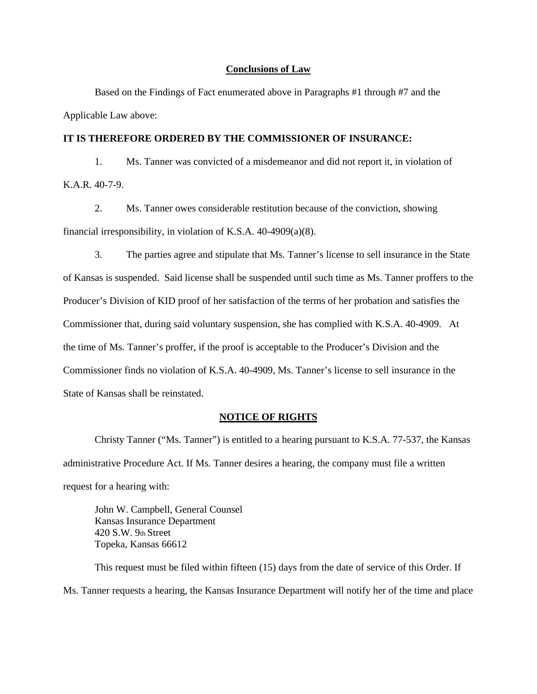#### **Conclusions of Law**

Based on the Findings of Fact enumerated above in Paragraphs #1 through #7 and the Applicable Law above:

#### **IT IS THEREFORE ORDERED BY THE COMMISSIONER OF INSURANCE:**

 1. Ms. Tanner was convicted of a misdemeanor and did not report it, in violation of K.A.R. 40-7-9.

 2. Ms. Tanner owes considerable restitution because of the conviction, showing financial irresponsibility, in violation of K.S.A. 40-4909(a)(8).

 3. The parties agree and stipulate that Ms. Tanner's license to sell insurance in the State of Kansas is suspended. Said license shall be suspended until such time as Ms. Tanner proffers to the Producer's Division of KID proof of her satisfaction of the terms of her probation and satisfies the Commissioner that, during said voluntary suspension, she has complied with K.S.A. 40-4909. At the time of Ms. Tanner's proffer, if the proof is acceptable to the Producer's Division and the Commissioner finds no violation of K.S.A. 40-4909, Ms. Tanner's license to sell insurance in the State of Kansas shall be reinstated.

#### **NOTICE OF RIGHTS**

Christy Tanner ("Ms. Tanner") is entitled to a hearing pursuant to K.S.A. 77-537, the Kansas administrative Procedure Act. If Ms. Tanner desires a hearing, the company must file a written request for a hearing with:

John W. Campbell, General Counsel Kansas Insurance Department 420 S.W. 9th Street Topeka, Kansas 66612

This request must be filed within fifteen (15) days from the date of service of this Order. If Ms. Tanner requests a hearing, the Kansas Insurance Department will notify her of the time and place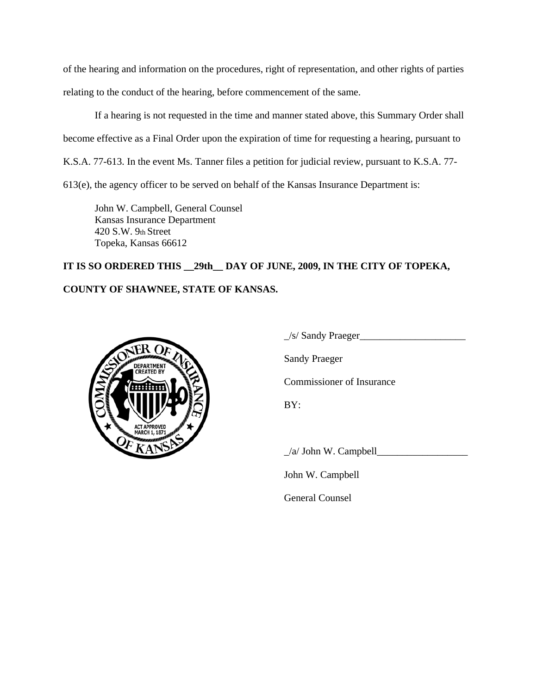of the hearing and information on the procedures, right of representation, and other rights of parties relating to the conduct of the hearing, before commencement of the same.

If a hearing is not requested in the time and manner stated above, this Summary Order shall become effective as a Final Order upon the expiration of time for requesting a hearing, pursuant to K.S.A. 77-613. In the event Ms. Tanner files a petition for judicial review, pursuant to K.S.A. 77- 613(e), the agency officer to be served on behalf of the Kansas Insurance Department is:

John W. Campbell, General Counsel Kansas Insurance Department 420 S.W. 9th Street Topeka, Kansas 66612

# **IT IS SO ORDERED THIS \_\_29th\_\_ DAY OF JUNE, 2009, IN THE CITY OF TOPEKA, COUNTY OF SHAWNEE, STATE OF KANSAS.**



 $\angle$ s/ Sandy Praeger $\angle$ Sandy Praeger Commissioner of Insurance

BY:

 $\Box$ /a/ John W. Campbell

John W. Campbell

General Counsel